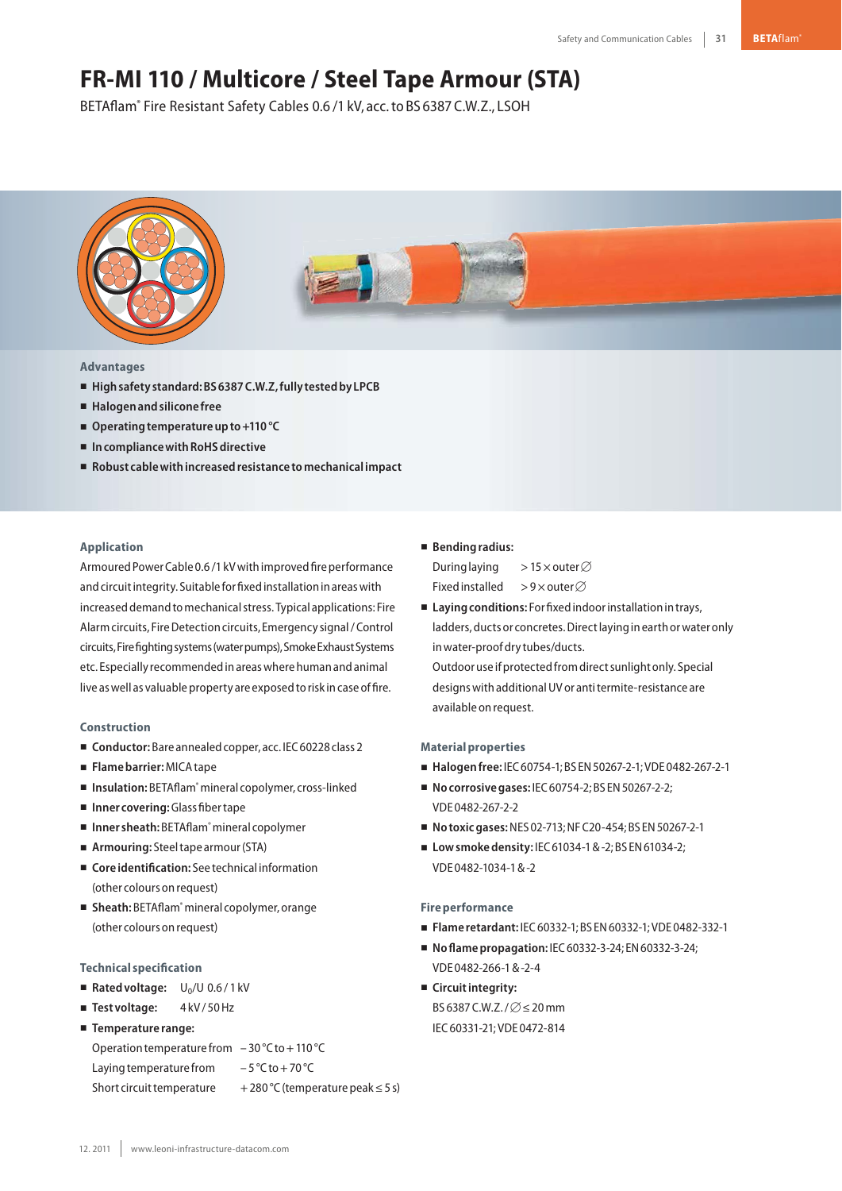# **FR-MI 110 / Multicore / Steel Tape Armour (STA)**

BETAflam® Fire Resistant Safety Cables 0.6 /1 kV, acc.to BS 6387 C.W.Z., LSOH



## **Advantages**

- **Highsafety standard:BS6387C.W.Z,fully testedby LPCB**
- **Halogenandsilicone free**
- Operating temperature up to +110 °C
- In compliance with RoHS directive
- **Robust cablewithincreasedresistance tomechanicalimpact**

## **Application**

Armoured Power Cable 0.6 /1 kV with improved fire performance and circuit integrity. Suitable for fixed installation in areas with increased demand to mechanical stress. Typical applications: Fire Alarm circuits, Fire Detection circuits, Emergency signal / Control circuits,Firefightingsystems(waterpumps),SmokeExhaustSystems etc. Especially recommendedinareaswherehumanandanimal live as well as valuable property are exposed to risk in case of fire.

#### **Construction**

- Conductor: Bare annealed copper, acc. IEC 60228 class 2
- **Flamebarrier:**MICAtape
- Insulation: BETAflam<sup>®</sup> mineral copolymer, cross-linked
- **Inner covering:**Glass fibertape
- Inner sheath: BETAflam<sup>®</sup> mineral copolymer
- Armouring: Steel tape armour (STA)
- **Core identification:** See technical information (other colours onrequest)
- Sheath: BETAflam<sup>®</sup> mineral copolymer, orange (other colours onrequest)

#### **Technical specification**

- Rated voltage: U<sub>0</sub>/U 0.6/1 kV
- Test voltage: 4kV/50 Hz
- **Temperature range:**

Operation temperature from  $-30$  °C to  $+110$  °C

Laying temperature from  $-5^{\circ}$ C to + 70 °C

Short circuit temperature  $+280\degree C$  (temperature peak ≤ 5 s)

### - **Bendingradius:**

During laying >15  $\times$  outer  $\varnothing$ Fixed installed >9×outer⊘

■ Laying conditions: For fixed indoor installation in trays, ladders, ducts or concretes. Direct laying in earth or water only inwater-proofdry tubes/ducts.

Outdooruse ifprotectedfromdirectsunlight only. Special designs with additional UV or anti termite-resistance are available on request.

#### **Materialproperties**

- **Halogenfree:** IEC60754-1;BS EN50267-2-1;VDE 0482-267-2-1
- **No corrosive gases:** IEC 60754-2; BS EN 50267-2-2; VDE 0482-267-2-2
- **Notoxic gases: NES 02-713; NF C20-454; BS EN 50267-2-1**
- Low smoke density: IEC 61034-1 & -2; BS EN 61034-2; VDE 0482-1034-1&-2

#### **Fireperformance**

- **Flame retardant:** IEC60332-1;BS EN60332-1;VDE 0482-332-1
- **Noflamepropagation:** IEC60332-3-24; EN60332-3-24; VDE 0482-266-1&-2-4
- **E** Circuit integrity: BS 6387 C.W.Z. /  $\varnothing$   $\leq$  20 mm IEC60331-21;VDE 0472-814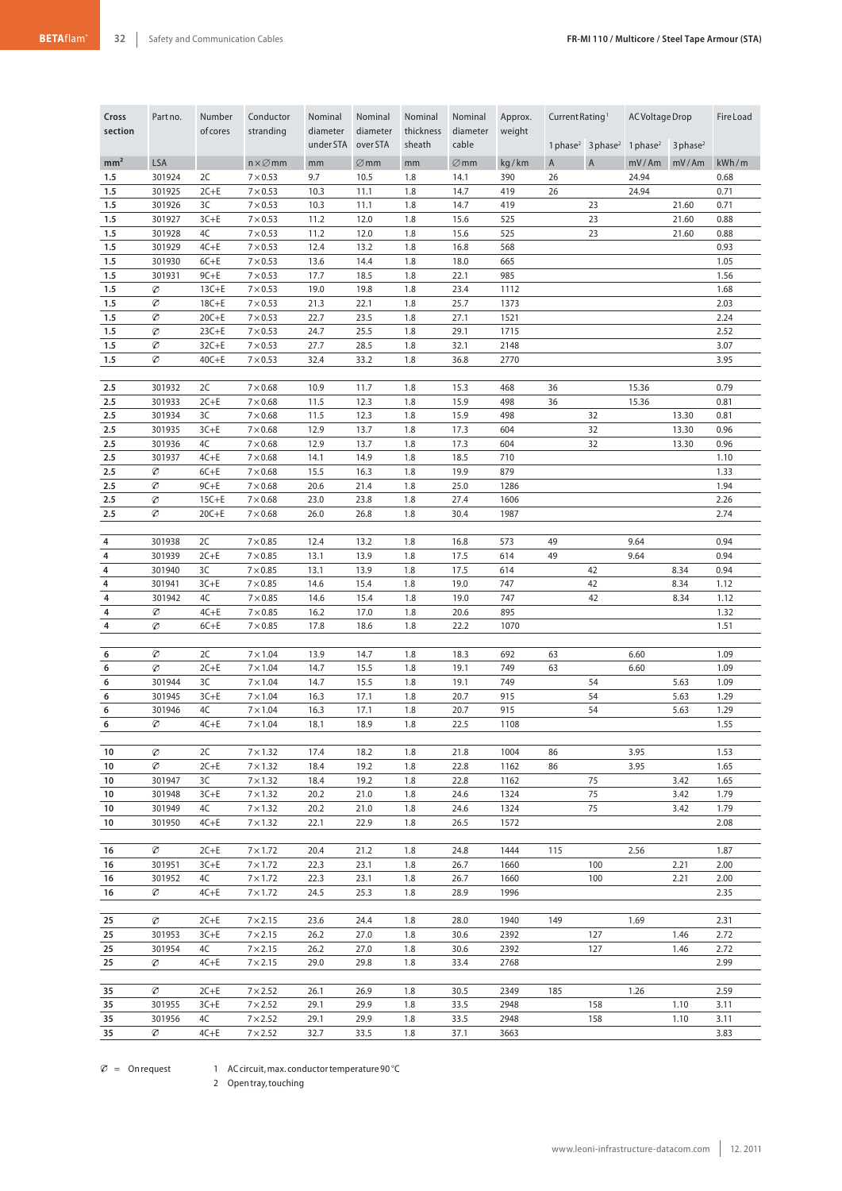| Cross           | Partno.          | Number                 | Conductor                          | Nominal               | Nominal              | Nominal             | Nominal           | Approx.      | Current Rating <sup>1</sup> |                                           | AC Voltage Drop |                        | <b>Fire Load</b> |
|-----------------|------------------|------------------------|------------------------------------|-----------------------|----------------------|---------------------|-------------------|--------------|-----------------------------|-------------------------------------------|-----------------|------------------------|------------------|
| section         |                  | of cores               | stranding                          | diameter<br>under STA | diameter<br>over STA | thickness<br>sheath | diameter<br>cable | weight       |                             | 1 phase <sup>2</sup> 3 phase <sup>2</sup> | 1 phase $^2$    | $3$ phase <sup>2</sup> |                  |
| mm <sup>2</sup> | <b>LSA</b>       |                        | $n \times \varnothing$ mm          | mm                    | $\varnothing$ mm     | mm                  | $\varnothing$ mm  | kg/km        | $\mathsf{A}$                | $\mathsf A$                               | mV/Am           | mV/Am                  | kWh/m            |
| 1.5             | 301924           | 2C                     | $7 \times 0.53$                    | 9.7                   | 10.5                 | 1.8                 | 14.1              | 390          | 26                          |                                           | 24.94           |                        | 0.68             |
| 1.5             | 301925           | $2C+E$                 | $7 \times 0.53$                    | 10.3                  | 11.1                 | 1.8                 | 14.7              | 419          | 26                          |                                           | 24.94           |                        | 0.71             |
| 1.5             | 301926           | 3C                     | $7 \times 0.53$                    | 10.3                  | 11.1                 | 1.8                 | 14.7              | 419          |                             | 23                                        |                 | 21.60                  | 0.71             |
| 1.5             | 301927           | $3C + E$               | $7 \times 0.53$                    | 11.2                  | 12.0                 | 1.8                 | 15.6              | 525          |                             | 23                                        |                 | 21.60                  | 0.88             |
| 1.5<br>1.5      | 301928<br>301929 | 4C<br>$4C + E$         | $7 \times 0.53$<br>$7\times 0.53$  | 11.2<br>12.4          | 12.0<br>13.2         | 1.8<br>1.8          | 15.6<br>16.8      | 525<br>568   |                             | 23                                        |                 | 21.60                  | 0.88<br>0.93     |
| 1.5             | 301930           | $6C + E$               | $7 \times 0.53$                    | 13.6                  | 14.4                 | 1.8                 | 18.0              | 665          |                             |                                           |                 |                        | 1.05             |
| 1.5             | 301931           | $9C + E$               | $7 \times 0.53$                    | 17.7                  | 18.5                 | 1.8                 | 22.1              | 985          |                             |                                           |                 |                        | 1.56             |
| 1.5             | Ø                | $13C + E$              | $7\times 0.53$                     | 19.0                  | 19.8                 | 1.8                 | 23.4              | 1112         |                             |                                           |                 |                        | 1.68             |
| 1.5             | Ø                | $18C + E$              | $7\times 0.53$                     | 21.3                  | 22.1                 | 1.8                 | 25.7              | 1373         |                             |                                           |                 |                        | 2.03             |
| 1.5             | Ø                | $20C + E$              | $7\times 0.53$                     | 22.7                  | 23.5                 | 1.8                 | 27.1              | 1521         |                             |                                           |                 |                        | 2.24             |
| 1.5             | Ø                | $23C + E$              | $7\times 0.53$                     | 24.7                  | 25.5                 | 1.8                 | 29.1              | 1715         |                             |                                           |                 |                        | 2.52             |
| 1.5<br>1.5      | Ø<br>Ø           | $32C + E$<br>$40C + E$ | $7 \times 0.53$<br>$7 \times 0.53$ | 27.7<br>32.4          | 28.5<br>33.2         | 1.8<br>1.8          | 32.1<br>36.8      | 2148<br>2770 |                             |                                           |                 |                        | 3.07<br>3.95     |
|                 |                  |                        |                                    |                       |                      |                     |                   |              |                             |                                           |                 |                        |                  |
| 2.5             | 301932           | 2C                     | $7\times0.68$                      | 10.9                  | 11.7                 | 1.8                 | 15.3              | 468          | 36                          |                                           | 15.36           |                        | 0.79             |
| 2.5             | 301933           | $2C+E$                 | $7\times0.68$                      | 11.5                  | 12.3                 | 1.8                 | 15.9              | 498          | 36                          |                                           | 15.36           |                        | 0.81             |
| 2.5             | 301934           | 3C                     | $7\times0.68$                      | 11.5                  | 12.3                 | 1.8                 | 15.9              | 498          |                             | 32                                        |                 | 13.30                  | 0.81             |
| 2.5             | 301935           | $3C + E$               | $7\times0.68$                      | 12.9                  | 13.7                 | 1.8                 | 17.3              | 604          |                             | 32                                        |                 | 13.30                  | 0.96             |
| 2.5             | 301936           | 4C                     | $7\times0.68$                      | 12.9                  | 13.7                 | 1.8                 | 17.3              | 604          |                             | 32                                        |                 | 13.30                  | 0.96             |
| 2.5<br>2.5      | 301937<br>Ø      | $4C + E$<br>$6C + E$   | $7\times0.68$<br>$7\times0.68$     | 14.1<br>15.5          | 14.9<br>16.3         | 1.8<br>1.8          | 18.5<br>19.9      | 710<br>879   |                             |                                           |                 |                        | 1.10<br>1.33     |
| 2.5             | Ø                | $9C + E$               | $7\times0.68$                      | 20.6                  | 21.4                 | 1.8                 | 25.0              | 1286         |                             |                                           |                 |                        | 1.94             |
| 2.5             | Ø                | $15C + E$              | $7\times0.68$                      | 23.0                  | 23.8                 | 1.8                 | 27.4              | 1606         |                             |                                           |                 |                        | 2.26             |
| 2.5             | Ø                | $20C + E$              | $7 \times 0.68$                    | 26.0                  | 26.8                 | 1.8                 | 30.4              | 1987         |                             |                                           |                 |                        | 2.74             |
|                 |                  |                        |                                    |                       |                      |                     |                   |              |                             |                                           |                 |                        |                  |
| 4               | 301938           | 2C                     | $7\times0.85$                      | 12.4                  | 13.2                 | 1.8                 | 16.8              | 573          | 49                          |                                           | 9.64            |                        | 0.94             |
| 4<br>4          | 301939<br>301940 | $2C+E$<br>3C           | $7\times0.85$<br>$7\times 0.85$    | 13.1<br>13.1          | 13.9<br>13.9         | 1.8<br>1.8          | 17.5<br>17.5      | 614<br>614   | 49                          | 42                                        | 9.64            | 8.34                   | 0.94<br>0.94     |
| 4               | 301941           | $3C+E$                 | $7 \times 0.85$                    | 14.6                  | 15.4                 | 1.8                 | 19.0              | 747          |                             | 42                                        |                 | 8.34                   | 1.12             |
| 4               | 301942           | 4C                     | $7 \times 0.85$                    | 14.6                  | 15.4                 | 1.8                 | 19.0              | 747          |                             | 42                                        |                 | 8.34                   | 1.12             |
| 4               | Ø                | $4C + E$               | $7 \times 0.85$                    | 16.2                  | 17.0                 | 1.8                 | 20.6              | 895          |                             |                                           |                 |                        | 1.32             |
| 4               | Ø                | $6C + E$               | $7 \times 0.85$                    | 17.8                  | 18.6                 | 1.8                 | 22.2              | 1070         |                             |                                           |                 |                        | 1.51             |
|                 |                  |                        |                                    |                       |                      |                     |                   |              |                             |                                           |                 |                        |                  |
| 6               | Ø                | 2C                     | $7 \times 1.04$                    | 13.9                  | 14.7                 | 1.8                 | 18.3              | 692          | 63                          |                                           | 6.60            |                        | 1.09             |
| 6<br>6          | Ø<br>301944      | $2C+E$<br>3C           | $7 \times 1.04$<br>$7 \times 1.04$ | 14.7<br>14.7          | 15.5<br>15.5         | 1.8<br>1.8          | 19.1<br>19.1      | 749<br>749   | 63                          | 54                                        | 6.60            | 5.63                   | 1.09<br>1.09     |
| 6               | 301945           | $3C + E$               | $7 \times 1.04$                    | 16.3                  | 17.1                 | 1.8                 | 20.7              | 915          |                             | 54                                        |                 | 5.63                   | 1.29             |
| 6               | 301946           | 4C                     | $7 \times 1.04$                    | 16.3                  | 17.1                 | 1.8                 | 20.7              | 915          |                             | 54                                        |                 | 5.63                   | 1.29             |
| 6               | Ø                | $4C + E$               | $7 \times 1.04$                    | 18.1                  | 18.9                 | 1.8                 | 22.5              | 1108         |                             |                                           |                 |                        | 1.55             |
|                 |                  |                        |                                    |                       |                      |                     |                   |              |                             |                                           |                 |                        |                  |
| 10              | Ø                | 2C                     | $7 \times 1.32$                    | 17.4                  | 18.2                 | 1.8                 | 21.8              | 1004         | 86                          |                                           | 3.95            |                        | 1.53             |
| 10<br>10        | Ø<br>301947      | $2C+E$<br>3C           | $7 \times 1.32$<br>$7 \times 1.32$ | 18.4<br>18.4          | 19.2<br>19.2         | 1.8<br>1.8          | 22.8<br>22.8      | 1162<br>1162 | 86                          | 75                                        | 3.95            | 3.42                   | 1.65<br>1.65     |
| 10              | 301948           | $3C + E$               | $7 \times 1.32$                    | 20.2                  | 21.0                 | 1.8                 | 24.6              | 1324         |                             | 75                                        |                 | 3.42                   | 1.79             |
| 10              | 301949           | 4C                     | $7 \times 1.32$                    | 20.2                  | 21.0                 | 1.8                 | 24.6              | 1324         |                             | 75                                        |                 | 3.42                   | 1.79             |
| 10              | 301950           | $4C + E$               | $7 \times 1.32$                    | 22.1                  | 22.9                 | 1.8                 | 26.5              | 1572         |                             |                                           |                 |                        | 2.08             |
|                 |                  |                        |                                    |                       |                      |                     |                   |              |                             |                                           |                 |                        |                  |
| 16              | Ø                | $2C+E$                 | $7 \times 1.72$                    | 20.4                  | 21.2                 | 1.8                 | 24.8              | 1444         | 115                         |                                           | 2.56            |                        | 1.87             |
| 16              | 301951           | $3C + E$               | $7 \times 1.72$                    | 22.3                  | 23.1                 | 1.8                 | 26.7              | 1660         |                             | 100                                       |                 | 2.21                   | 2.00             |
| 16<br>16        | 301952<br>Ø      | 4C<br>$4C + E$         | $7 \times 1.72$<br>$7 \times 1.72$ | 22.3<br>24.5          | 23.1<br>25.3         | 1.8<br>1.8          | 26.7<br>28.9      | 1660<br>1996 |                             | 100                                       |                 | 2.21                   | 2.00<br>2.35     |
|                 |                  |                        |                                    |                       |                      |                     |                   |              |                             |                                           |                 |                        |                  |
| 25              | Ø                | $2C+E$                 | $7 \times 2.15$                    | 23.6                  | 24.4                 | 1.8                 | 28.0              | 1940         | 149                         |                                           | 1.69            |                        | 2.31             |
| 25              | 301953           | $3C + E$               | $7 \times 2.15$                    | 26.2                  | 27.0                 | 1.8                 | 30.6              | 2392         |                             | 127                                       |                 | 1.46                   | 2.72             |
| 25              | 301954           | 4C                     | $7 \times 2.15$                    | 26.2                  | 27.0                 | 1.8                 | 30.6              | 2392         |                             | 127                                       |                 | 1.46                   | 2.72             |
| 25              | Ø                | $4C + E$               | $7 \times 2.15$                    | 29.0                  | 29.8                 | 1.8                 | 33.4              | 2768         |                             |                                           |                 |                        | 2.99             |
|                 |                  |                        |                                    |                       |                      |                     |                   |              |                             |                                           |                 |                        |                  |
| 35<br>35        | Ø<br>301955      | $2C + E$<br>$3C + E$   | $7 \times 2.52$<br>$7 \times 2.52$ | 26.1<br>29.1          | 26.9<br>29.9         | 1.8<br>1.8          | 30.5<br>33.5      | 2349<br>2948 | 185                         | 158                                       | 1.26            | 1.10                   | 2.59<br>3.11     |
| 35              | 301956           | 4C                     | $7 \times 2.52$                    | 29.1                  | 29.9                 | 1.8                 | 33.5              | 2948         |                             | 158                                       |                 | 1.10                   | 3.11             |
| 35              | Ø                | $4C + E$               | $7 \times 2.52$                    | 32.7                  | 33.5                 | 1.8                 | 37.1              | 3663         |                             |                                           |                 |                        | 3.83             |

 $\varnothing$  = On request 1 AC circuit, max. conductor temperature 90 °C

2 Opentray,touching